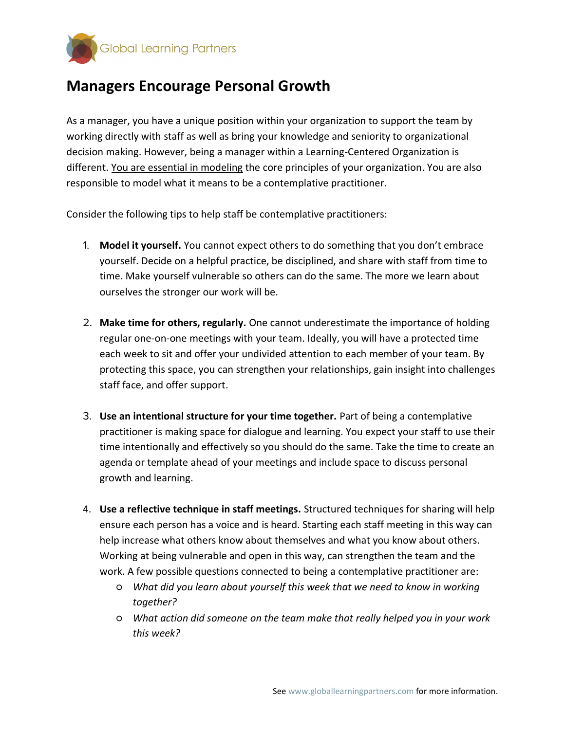

## Managers Encourage Personal Growth

As a manager, you have a unique position within your organization to support the team by working directly with staff as well as bring your knowledge and seniority to organizational decision making. However, being a manager within a Learning-Centered Organization is different. You are essential in modeling the core principles of your organization. You are also responsible to model what it means to be a contemplative practitioner.

Consider the following tips to help staff be contemplative practitioners:

- 1. Model it yourself. You cannot expect others to do something that you don't embrace yourself. Decide on a helpful practice, be disciplined, and share with staff from time to time. Make yourself vulnerable so others can do the same. The more we learn about ourselves the stronger our work will be.
- 2. Make time for others, regularly. One cannot underestimate the importance of holding regular one-on-one meetings with your team. Ideally, you will have a protected time each week to sit and offer your undivided attention to each member of your team. By protecting this space, you can strengthen your relationships, gain insight into challenges staff face, and offer support.
- 3. Use an intentional structure for your time together. Part of being a contemplative practitioner is making space for dialogue and learning. You expect your staff to use their time intentionally and effectively so you should do the same. Take the time to create an agenda or template ahead of your meetings and include space to discuss personal growth and learning.
- 4. Use a reflective technique in staff meetings. Structured techniques for sharing will help ensure each person has a voice and is heard. Starting each staff meeting in this way can help increase what others know about themselves and what you know about others. Working at being vulnerable and open in this way, can strengthen the team and the work. A few possible questions connected to being a contemplative practitioner are:
	- What did you learn about yourself this week that we need to know in working together?
	- What action did someone on the team make that really helped you in your work this week?